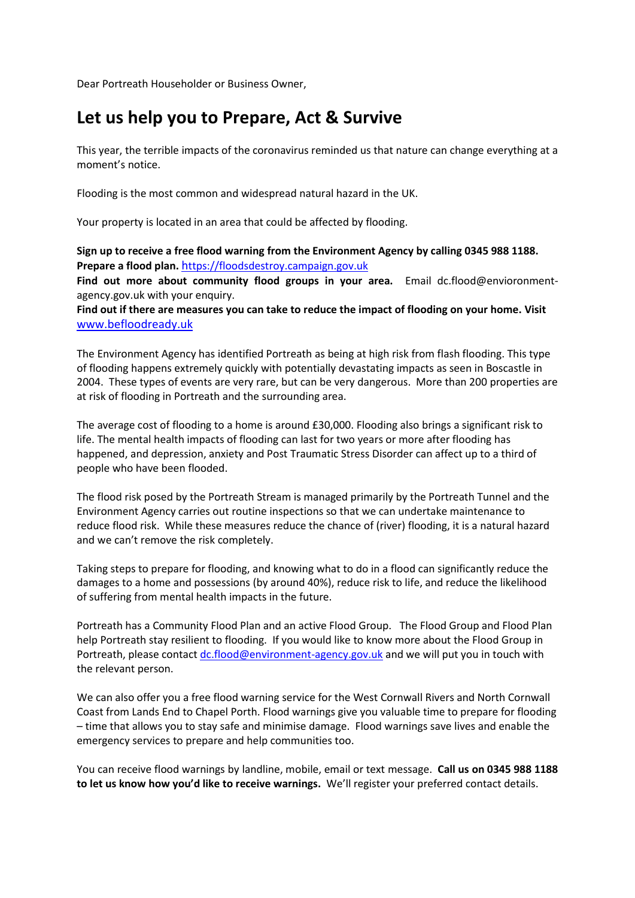Dear Portreath Householder or Business Owner,

## **Let us help you to Prepare, Act & Survive**

This year, the terrible impacts of the coronavirus reminded us that nature can change everything at a moment's notice.

Flooding is the most common and widespread natural hazard in the UK.

Your property is located in an area that could be affected by flooding.

**Sign up to receive a free flood warning from the Environment Agency by calling 0345 988 1188. Prepare a flood plan.** [h](https://floodsdestroy.campaign.gov.uk/)[ttps://floodsdestroy.campaign.gov.uk](https://floodsdestroy.campaign.gov.uk/)

**Find out more about community flood groups in your area.** Email [dc.flood@envioronment](mailto:dc.flood@envioronment-agency.gov.uk)[agency.gov.uk](mailto:dc.flood@envioronment-agency.gov.uk) with your enquiry.

**Find out if there are measures you can take to reduce the impact of flooding on your home. Visit** www.befloodready.uk

The Environment Agency has identified Portreath as being at high risk from flash flooding. This type of flooding happens extremely quickly with potentially devastating impacts as seen in Boscastle in 2004. These types of events are very rare, but can be very dangerous. More than 200 properties are at risk of flooding in Portreath and the surrounding area.

The average cost of flooding to a home is around £30,000. Flooding also brings a significant risk to life. The mental health impacts of flooding can last for two years or more after flooding has happened, and depression, anxiety and Post Traumatic Stress Disorder can affect up to a third of people who have been flooded.

The flood risk posed by the Portreath Stream is managed primarily by the Portreath Tunnel and the Environment Agency carries out routine inspections so that we can undertake maintenance to reduce flood risk. While these measures reduce the chance of (river) flooding, it is a natural hazard and we can't remove the risk completely.

Taking steps to prepare for flooding, and knowing what to do in a flood can significantly reduce the damages to a home and possessions (by around 40%), reduce risk to life, and reduce the likelihood of suffering from mental health impacts in the future.

Portreath has a Community Flood Plan and an active Flood Group. The Flood Group and Flood Plan help Portreath stay resilient to flooding. If you would like to know more about the Flood Group in Portreath, please contac[t dc.flood@environment-agency.gov.uk](mailto:dc.flood@environment-agency.gov.uk) and we will put you in touch with the relevant person.

We can also offer you a free flood warning service for the West Cornwall Rivers and North Cornwall Coast from Lands End to Chapel Porth. Flood warnings give you valuable time to prepare for flooding – time that allows you to stay safe and minimise damage. Flood warnings save lives and enable the emergency services to prepare and help communities too.

You can receive flood warnings by landline, mobile, email or text message. **Call us on 0345 988 1188 to let us know how you'd like to receive warnings.** We'll register your preferred contact details.